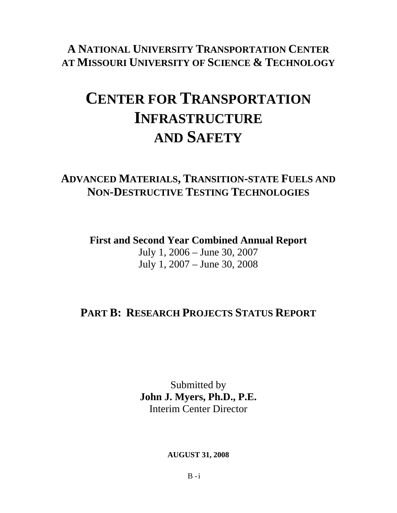### **A NATIONAL UNIVERSITY TRANSPORTATION CENTER AT MISSOURI UNIVERSITY OF SCIENCE & TECHNOLOGY**

# **CENTER FOR TRANSPORTATION INFRASTRUCTURE AND SAFETY**

### **ADVANCED MATERIALS, TRANSITION-STATE FUELS AND NON-DESTRUCTIVE TESTING TECHNOLOGIES**

**First and Second Year Combined Annual Report**  July 1, 2006 – June 30, 2007 July 1, 2007 – June 30, 2008

### **PART B: RESEARCH PROJECTS STATUS REPORT**

Submitted by **John J. Myers, Ph.D., P.E.**  Interim Center Director

**AUGUST 31, 2008** 

 $B - i$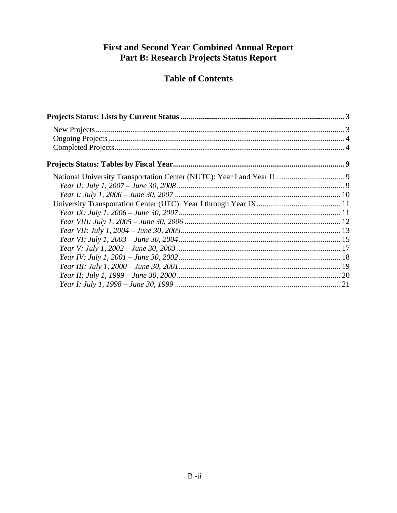#### **First and Second Year Combined Annual Report** Part B: Research Projects Status Report

#### **Table of Contents**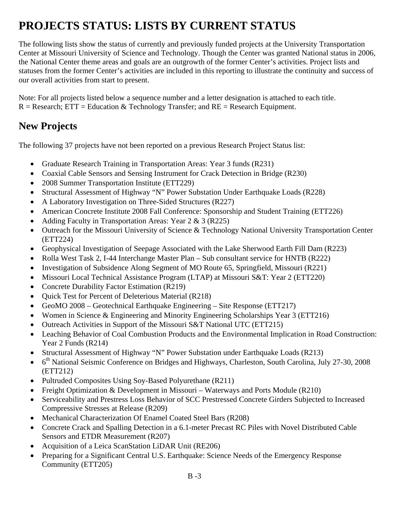# **PROJECTS STATUS: LISTS BY CURRENT STATUS**

The following lists show the status of currently and previously funded projects at the University Transportation Center at Missouri University of Science and Technology. Though the Center was granted National status in 2006, the National Center theme areas and goals are an outgrowth of the former Center's activities. Project lists and statuses from the former Center's activities are included in this reporting to illustrate the continuity and success of our overall activities from start to present.

Note: For all projects listed below a sequence number and a letter designation is attached to each title.  $R =$  Research; ETT = Education & Technology Transfer; and RE = Research Equipment.

#### **New Projects**

The following 37 projects have not been reported on a previous Research Project Status list:

- Graduate Research Training in Transportation Areas: Year 3 funds (R231)
- Coaxial Cable Sensors and Sensing Instrument for Crack Detection in Bridge (R230)
- 2008 Summer Transportation Institute (ETT229)
- Structural Assessment of Highway "N" Power Substation Under Earthquake Loads (R228)
- A Laboratory Investigation on Three-Sided Structures (R227)
- American Concrete Institute 2008 Fall Conference: Sponsorship and Student Training (ETT226)
- Adding Faculty in Transportation Areas: Year 2 & 3 (R225)
- Outreach for the Missouri University of Science & Technology National University Transportation Center (ETT224)
- Geophysical Investigation of Seepage Associated with the Lake Sherwood Earth Fill Dam (R223)
- Rolla West Task 2, I-44 Interchange Master Plan Sub consultant service for HNTB (R222)
- Investigation of Subsidence Along Segment of MO Route 65, Springfield, Missouri (R221)
- Missouri Local Technical Assistance Program (LTAP) at Missouri S&T: Year 2 (ETT220)
- Concrete Durability Factor Estimation (R219)
- Quick Test for Percent of Deleterious Material (R218)
- GeoMO 2008 Geotechnical Earthquake Engineering Site Response (ETT217)
- Women in Science & Engineering and Minority Engineering Scholarships Year 3 (ETT216)
- Outreach Activities in Support of the Missouri S&T National UTC (ETT215)
- Leaching Behavior of Coal Combustion Products and the Environmental Implication in Road Construction: Year 2 Funds (R214)
- Structural Assessment of Highway "N" Power Substation under Earthquake Loads (R213)
- 6<sup>th</sup> National Seismic Conference on Bridges and Highways, Charleston, South Carolina, July 27-30, 2008 (ETT212)
- Pultruded Composites Using Soy-Based Polyurethane (R211)
- Freight Optimization & Development in Missouri Waterways and Ports Module (R210)
- Serviceability and Prestress Loss Behavior of SCC Prestressed Concrete Girders Subjected to Increased Compressive Stresses at Release (R209)
- Mechanical Characterization Of Enamel Coated Steel Bars (R208)
- Concrete Crack and Spalling Detection in a 6.1-meter Precast RC Piles with Novel Distributed Cable Sensors and ETDR Measurement (R207)
- Acquisition of a Leica ScanStation LiDAR Unit (RE206)
- Preparing for a Significant Central U.S. Earthquake: Science Needs of the Emergency Response Community (ETT205)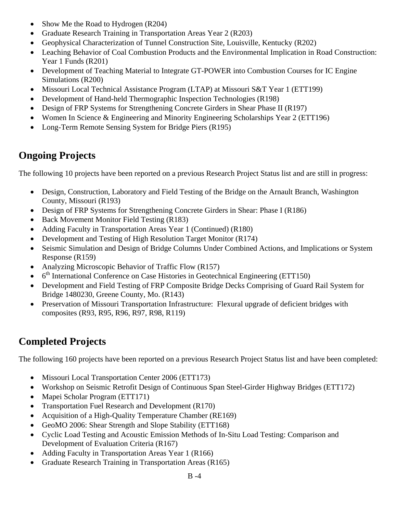- Show Me the Road to Hydrogen (R204)
- Graduate Research Training in Transportation Areas Year 2 (R203)
- Geophysical Characterization of Tunnel Construction Site, Louisville, Kentucky (R202)
- Leaching Behavior of Coal Combustion Products and the Environmental Implication in Road Construction: Year 1 Funds (R201)
- Development of Teaching Material to Integrate GT-POWER into Combustion Courses for IC Engine Simulations (R200)
- Missouri Local Technical Assistance Program (LTAP) at Missouri S&T Year 1 (ETT199)
- Development of Hand-held Thermographic Inspection Technologies (R198)
- Design of FRP Systems for Strengthening Concrete Girders in Shear Phase II (R197)
- Women In Science & Engineering and Minority Engineering Scholarships Year 2 (ETT196)
- Long-Term Remote Sensing System for Bridge Piers (R195)

### **Ongoing Projects**

The following 10 projects have been reported on a previous Research Project Status list and are still in progress:

- Design, Construction, Laboratory and Field Testing of the Bridge on the Arnault Branch, Washington County, Missouri (R193)
- Design of FRP Systems for Strengthening Concrete Girders in Shear: Phase I (R186)
- Back Movement Monitor Field Testing (R183)
- Adding Faculty in Transportation Areas Year 1 (Continued) (R180)
- Development and Testing of High Resolution Target Monitor (R174)
- Seismic Simulation and Design of Bridge Columns Under Combined Actions, and Implications or System Response (R159)
- Analyzing Microscopic Behavior of Traffic Flow (R157)
- 6<sup>th</sup> International Conference on Case Histories in Geotechnical Engineering (ETT150)
- Development and Field Testing of FRP Composite Bridge Decks Comprising of Guard Rail System for Bridge 1480230, Greene County, Mo. (R143)
- Preservation of Missouri Transportation Infrastructure: Flexural upgrade of deficient bridges with composites (R93, R95, R96, R97, R98, R119)

### **Completed Projects**

The following 160 projects have been reported on a previous Research Project Status list and have been completed:

- Missouri Local Transportation Center 2006 (ETT173)
- Workshop on Seismic Retrofit Design of Continuous Span Steel-Girder Highway Bridges (ETT172)
- Mapei Scholar Program (ETT171)
- Transportation Fuel Research and Development (R170)
- Acquisition of a High-Quality Temperature Chamber (RE169)
- GeoMO 2006: Shear Strength and Slope Stability (ETT168)
- Cyclic Load Testing and Acoustic Emission Methods of In-Situ Load Testing: Comparison and Development of Evaluation Criteria (R167)
- Adding Faculty in Transportation Areas Year 1 (R166)
- Graduate Research Training in Transportation Areas (R165)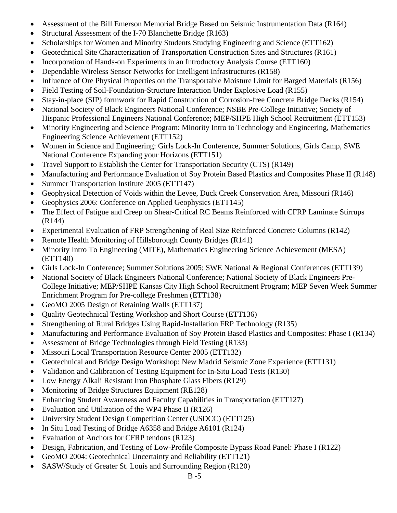- Assessment of the Bill Emerson Memorial Bridge Based on Seismic Instrumentation Data (R164)
- Structural Assessment of the I-70 Blanchette Bridge (R163)
- Scholarships for Women and Minority Students Studying Engineering and Science (ETT162)
- Geotechnical Site Characterization of Transportation Construction Sites and Structures (R161)
- Incorporation of Hands-on Experiments in an Introductory Analysis Course (ETT160)
- Dependable Wireless Sensor Networks for Intelligent Infrastructures (R158)
- Influence of Ore Physical Properties on the Transportable Moisture Limit for Barged Materials (R156)
- Field Testing of Soil-Foundation-Structure Interaction Under Explosive Load (R155)
- Stay-in-place (SIP) formwork for Rapid Construction of Corrosion-free Concrete Bridge Decks (R154)
- National Society of Black Engineers National Conference; NSBE Pre-College Initiative; Society of Hispanic Professional Engineers National Conference; MEP/SHPE High School Recruitment (ETT153)
- Minority Engineering and Science Program: Minority Intro to Technology and Engineering, Mathematics Engineering Science Achievement (ETT152)
- Women in Science and Engineering: Girls Lock-In Conference, Summer Solutions, Girls Camp, SWE National Conference Expanding your Horizons (ETT151)
- Travel Support to Establish the Center for Transportation Security (CTS) (R149)
- Manufacturing and Performance Evaluation of Soy Protein Based Plastics and Composites Phase II (R148)
- Summer Transportation Institute 2005 (ETT147)
- Geophysical Detection of Voids within the Levee, Duck Creek Conservation Area, Missouri (R146)
- Geophysics 2006: Conference on Applied Geophysics (ETT145)
- The Effect of Fatigue and Creep on Shear-Critical RC Beams Reinforced with CFRP Laminate Stirrups (R144)
- Experimental Evaluation of FRP Strengthening of Real Size Reinforced Concrete Columns (R142)
- Remote Health Monitoring of Hillsborough County Bridges (R141)
- Minority Intro To Engineering (MITE), Mathematics Engineering Science Achievement (MESA) (ETT140)
- Girls Lock-In Conference: Summer Solutions 2005: SWE National & Regional Conferences (ETT139)
- National Society of Black Engineers National Conference; National Society of Black Engineers Pre-College Initiative; MEP/SHPE Kansas City High School Recruitment Program; MEP Seven Week Summer Enrichment Program for Pre-college Freshmen (ETT138)
- GeoMO 2005 Design of Retaining Walls (ETT137)
- Quality Geotechnical Testing Workshop and Short Course (ETT136)
- Strengthening of Rural Bridges Using Rapid-Installation FRP Technology (R135)
- Manufacturing and Performance Evaluation of Soy Protein Based Plastics and Composites: Phase I (R134)
- Assessment of Bridge Technologies through Field Testing (R133)
- Missouri Local Transportation Resource Center 2005 (ETT132)
- Geotechnical and Bridge Design Workshop: New Madrid Seismic Zone Experience (ETT131)
- Validation and Calibration of Testing Equipment for In-Situ Load Tests (R130)
- Low Energy Alkali Resistant Iron Phosphate Glass Fibers (R129)
- Monitoring of Bridge Structures Equipment (RE128)
- Enhancing Student Awareness and Faculty Capabilities in Transportation (ETT127)
- Evaluation and Utilization of the WP4 Phase II (R126)
- University Student Design Competition Center (USDCC) (ETT125)
- In Situ Load Testing of Bridge A6358 and Bridge A6101 (R124)
- Evaluation of Anchors for CFRP tendons (R123)
- Design, Fabrication, and Testing of Low-Profile Composite Bypass Road Panel: Phase I (R122)
- GeoMO 2004: Geotechnical Uncertainty and Reliability (ETT121)
- SASW/Study of Greater St. Louis and Surrounding Region (R120)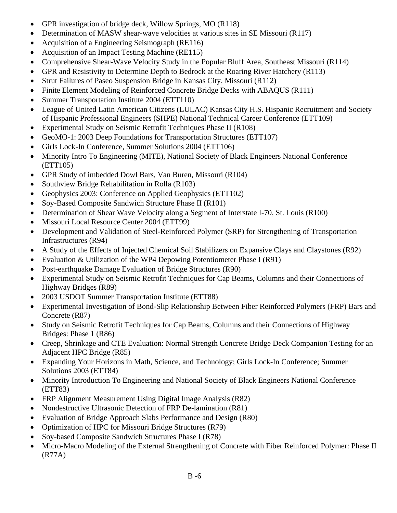- GPR investigation of bridge deck, Willow Springs, MO (R118)
- Determination of MASW shear-wave velocities at various sites in SE Missouri (R117)
- Acquisition of a Engineering Seismograph (RE116)
- Acquisition of an Impact Testing Machine (RE115)
- Comprehensive Shear-Wave Velocity Study in the Popular Bluff Area, Southeast Missouri (R114)
- GPR and Resistivity to Determine Depth to Bedrock at the Roaring River Hatchery (R113)
- Strut Failures of Paseo Suspension Bridge in Kansas City, Missouri (R112)
- Finite Element Modeling of Reinforced Concrete Bridge Decks with ABAQUS (R111)
- Summer Transportation Institute 2004 (ETT110)
- League of United Latin American Citizens (LULAC) Kansas City H.S. Hispanic Recruitment and Society of Hispanic Professional Engineers (SHPE) National Technical Career Conference (ETT109)
- Experimental Study on Seismic Retrofit Techniques Phase II (R108)
- GeoMO-1: 2003 Deep Foundations for Transportation Structures (ETT107)
- Girls Lock-In Conference, Summer Solutions 2004 (ETT106)
- Minority Intro To Engineering (MITE), National Society of Black Engineers National Conference (ETT105)
- GPR Study of imbedded Dowl Bars, Van Buren, Missouri (R104)
- Southview Bridge Rehabilitation in Rolla (R103)
- Geophysics 2003: Conference on Applied Geophysics (ETT102)
- Soy-Based Composite Sandwich Structure Phase II (R101)
- Determination of Shear Wave Velocity along a Segment of Interstate I-70, St. Louis (R100)
- Missouri Local Resource Center 2004 (ETT99)
- Development and Validation of Steel-Reinforced Polymer (SRP) for Strengthening of Transportation Infrastructures (R94)
- A Study of the Effects of Injected Chemical Soil Stabilizers on Expansive Clays and Claystones (R92)
- Evaluation & Utilization of the WP4 Depowing Potentiometer Phase I (R91)
- Post-earthquake Damage Evaluation of Bridge Structures (R90)
- Experimental Study on Seismic Retrofit Techniques for Cap Beams, Columns and their Connections of Highway Bridges (R89)
- 2003 USDOT Summer Transportation Institute (ETT88)
- Experimental Investigation of Bond-Slip Relationship Between Fiber Reinforced Polymers (FRP) Bars and Concrete (R87)
- Study on Seismic Retrofit Techniques for Cap Beams, Columns and their Connections of Highway Bridges: Phase 1 (R86)
- Creep, Shrinkage and CTE Evaluation: Normal Strength Concrete Bridge Deck Companion Testing for an Adjacent HPC Bridge (R85)
- Expanding Your Horizons in Math, Science, and Technology; Girls Lock-In Conference; Summer Solutions 2003 (ETT84)
- Minority Introduction To Engineering and National Society of Black Engineers National Conference (ETT83)
- FRP Alignment Measurement Using Digital Image Analysis (R82)
- Nondestructive Ultrasonic Detection of FRP De-lamination (R81)
- Evaluation of Bridge Approach Slabs Performance and Design (R80)
- Optimization of HPC for Missouri Bridge Structures (R79)
- Soy-based Composite Sandwich Structures Phase I (R78)
- Micro-Macro Modeling of the External Strengthening of Concrete with Fiber Reinforced Polymer: Phase II (R77A)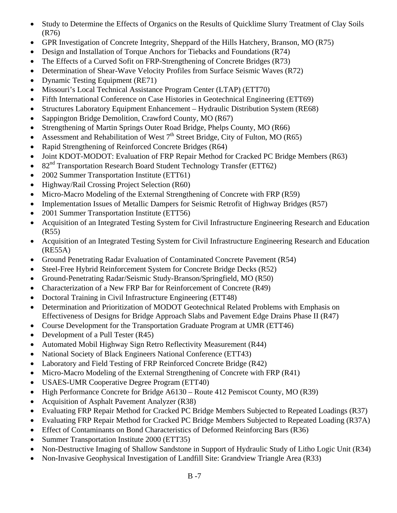- Study to Determine the Effects of Organics on the Results of Quicklime Slurry Treatment of Clay Soils (R76)
- GPR Investigation of Concrete Integrity, Sheppard of the Hills Hatchery, Branson, MO (R75)
- Design and Installation of Torque Anchors for Tiebacks and Foundations (R74)
- The Effects of a Curved Sofit on FRP-Strengthening of Concrete Bridges (R73)
- Determination of Shear-Wave Velocity Profiles from Surface Seismic Waves (R72)
- Dynamic Testing Equipment (RE71)
- Missouri's Local Technical Assistance Program Center (LTAP) (ETT70)
- Fifth International Conference on Case Histories in Geotechnical Engineering (ETT69)
- Structures Laboratory Equipment Enhancement Hydraulic Distribution System (RE68)
- Sappington Bridge Demolition, Crawford County, MO (R67)
- Strengthening of Martin Springs Outer Road Bridge, Phelps County, MO (R66)
- Assessment and Rehabilitation of West  $7<sup>th</sup>$  Street Bridge, City of Fulton, MO (R65)
- Rapid Strengthening of Reinforced Concrete Bridges (R64)
- Joint KDOT-MODOT: Evaluation of FRP Repair Method for Cracked PC Bridge Members (R63)
- 82<sup>nd</sup> Transportation Research Board Student Technology Transfer (ETT62)
- 2002 Summer Transportation Institute (ETT61)
- Highway/Rail Crossing Project Selection (R60)
- Micro-Macro Modeling of the External Strengthening of Concrete with FRP (R59)
- Implementation Issues of Metallic Dampers for Seismic Retrofit of Highway Bridges (R57)
- 2001 Summer Transportation Institute (ETT56)
- Acquisition of an Integrated Testing System for Civil Infrastructure Engineering Research and Education (R55)
- Acquisition of an Integrated Testing System for Civil Infrastructure Engineering Research and Education (RE55A)
- Ground Penetrating Radar Evaluation of Contaminated Concrete Pavement (R54)
- Steel-Free Hybrid Reinforcement System for Concrete Bridge Decks (R52)
- Ground-Penetrating Radar/Seismic Study-Branson/Springfield, MO (R50)
- Characterization of a New FRP Bar for Reinforcement of Concrete (R49)
- Doctoral Training in Civil Infrastructure Engineering (ETT48)
- Determination and Prioritization of MODOT Geotechnical Related Problems with Emphasis on Effectiveness of Designs for Bridge Approach Slabs and Pavement Edge Drains Phase II (R47)
- Course Development for the Transportation Graduate Program at UMR (ETT46)
- Development of a Pull Tester (R45)
- Automated Mobil Highway Sign Retro Reflectivity Measurement (R44)
- National Society of Black Engineers National Conference (ETT43)
- Laboratory and Field Testing of FRP Reinforced Concrete Bridge (R42)
- Micro-Macro Modeling of the External Strengthening of Concrete with FRP (R41)
- USAES-UMR Cooperative Degree Program (ETT40)
- High Performance Concrete for Bridge A6130 Route 412 Pemiscot County, MO (R39)
- Acquisition of Asphalt Pavement Analyzer (R38)
- Evaluating FRP Repair Method for Cracked PC Bridge Members Subjected to Repeated Loadings (R37)
- Evaluating FRP Repair Method for Cracked PC Bridge Members Subjected to Repeated Loading (R37A)
- Effect of Contaminants on Bond Characteristics of Deformed Reinforcing Bars (R36)
- Summer Transportation Institute 2000 (ETT35)
- Non-Destructive Imaging of Shallow Sandstone in Support of Hydraulic Study of Litho Logic Unit (R34)
- Non-Invasive Geophysical Investigation of Landfill Site: Grandview Triangle Area (R33)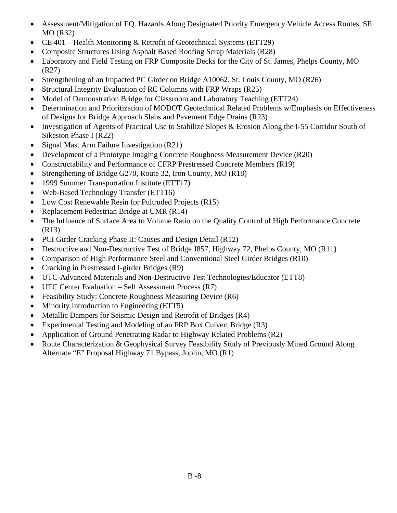- Assessment/Mitigation of EQ. Hazards Along Designated Priority Emergency Vehicle Access Routes, SE MO (R32)
- CE 401 Health Monitoring & Retrofit of Geotechnical Systems (ETT29)
- Composite Structures Using Asphalt Based Roofing Scrap Materials (R28)
- Laboratory and Field Testing on FRP Composite Decks for the City of St. James, Phelps County, MO (R27)
- Strengthening of an Impacted PC Girder on Bridge A10062, St. Louis County, MO (R26)
- Structural Integrity Evaluation of RC Columns with FRP Wraps (R25)
- Model of Demonstration Bridge for Classroom and Laboratory Teaching (ETT24)
- Determination and Prioritization of MODOT Geotechnical Related Problems w/Emphasis on Effectiveness of Designs for Bridge Approach Slabs and Pavement Edge Drains (R23)
- Investigation of Agents of Practical Use to Stabilize Slopes & Erosion Along the I-55 Corridor South of Sikeston Phase I (R22)
- Signal Mast Arm Failure Investigation (R21)
- Development of a Prototype Imaging Concrete Roughness Measurement Device (R20)
- Constructability and Performance of CFRP Prestressed Concrete Members (R19)
- Strengthening of Bridge G270, Route 32, Iron County, MO (R18)
- 1999 Summer Transportation Institute (ETT17)
- Web-Based Technology Transfer (ETT16)
- Low Cost Renewable Resin for Pultruded Projects (R15)
- Replacement Pedestrian Bridge at UMR (R14)
- The Influence of Surface Area to Volume Ratio on the Quality Control of High Performance Concrete (R13)
- PCI Girder Cracking Phase II: Causes and Design Detail (R12)
- Destructive and Non-Destructive Test of Bridge J857, Highway 72, Phelps County, MO (R11)
- Comparison of High Performance Steel and Conventional Steel Girder Bridges (R10)
- Cracking in Prestressed I-girder Bridges (R9)
- UTC-Advanced Materials and Non-Destructive Test Technologies/Educator (ETT8)
- UTC Center Evaluation Self Assessment Process (R7)
- Feasibility Study: Concrete Roughness Measuring Device (R6)
- Minority Introduction to Engineering (ETT5)
- Metallic Dampers for Seismic Design and Retrofit of Bridges (R4)
- Experimental Testing and Modeling of an FRP Box Culvert Bridge (R3)
- Application of Ground Penetrating Radar to Highway Related Problems (R2)
- Route Characterization & Geophysical Survey Feasibility Study of Previously Mined Ground Along Alternate "E" Proposal Highway 71 Bypass, Joplin, MO (R1)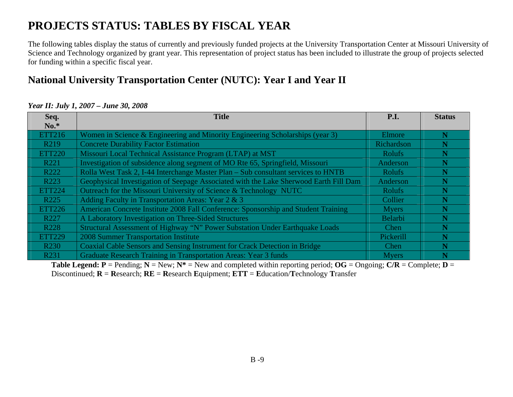## **PROJECTS STATUS: TABLES BY FISCAL YEAR**

The following tables display the status of currently and previously funded projects at the University Transportation Center at Missouri University of Science and Technology organized by grant year. This representation of project status has been included to illustrate the group of projects selected for funding within a specific fiscal year.

### **National University Transportation Center (NUTC): Year I and Year II**

#### *Year II: July 1, 2007 – June 30, 2008*

| Seq.              | <b>Title</b>                                                                          | P.I.          | <b>Status</b> |
|-------------------|---------------------------------------------------------------------------------------|---------------|---------------|
| $No.*$            |                                                                                       |               |               |
| <b>ETT216</b>     | Women in Science & Engineering and Minority Engineering Scholarships (year 3)         | Elmore        | N             |
| R <sub>2</sub> 19 | <b>Concrete Durability Factor Estimation</b>                                          | Richardson    | N             |
| <b>ETT220</b>     | Missouri Local Technical Assistance Program (LTAP) at MST                             | <b>Rolufs</b> | N             |
| R221              | Investigation of subsidence along segment of MO Rte 65, Springfield, Missouri         | Anderson      | N             |
| R222              | Rolla West Task 2, I-44 Interchange Master Plan – Sub consultant services to HNTB     | <b>Rolufs</b> |               |
| R223              | Geophysical Investigation of Seepage Associated with the Lake Sherwood Earth Fill Dam | Anderson      | N             |
| <b>ETT224</b>     | Outreach for the Missouri University of Science & Technology NUTC                     | <b>Rolufs</b> | N             |
| R <sub>225</sub>  | Adding Faculty in Transportation Areas: Year 2 & 3                                    | Collier       |               |
| <b>ETT226</b>     | American Concrete Institute 2008 Fall Conference: Sponsorship and Student Training    | <b>Myers</b>  | N             |
| R227              | A Laboratory Investigation on Three-Sided Structures                                  | Belarbi       | N             |
| R <sub>228</sub>  | Structural Assessment of Highway "N" Power Substation Under Earthquake Loads          | Chen          | N             |
| <b>ETT229</b>     | 2008 Summer Transportation Institute                                                  | Pickerill     | N             |
| R <sub>230</sub>  | Coaxial Cable Sensors and Sensing Instrument for Crack Detection in Bridge            | Chen          | N             |
| R231              | Graduate Research Training in Transportation Areas: Year 3 funds                      | <b>Myers</b>  |               |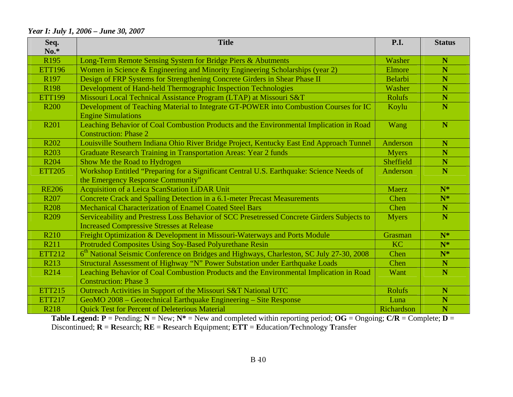#### *Year I: July 1, 2006 – June 30, 2007*

| Seq.<br>$No.*$   | <b>Title</b>                                                                                                                                    | <b>P.I.</b>    | <b>Status</b> |
|------------------|-------------------------------------------------------------------------------------------------------------------------------------------------|----------------|---------------|
| R <sub>195</sub> | Long-Term Remote Sensing System for Bridge Piers & Abutments                                                                                    | Washer         | $\mathbf N$   |
| <b>ETT196</b>    | Women in Science & Engineering and Minority Engineering Scholarships (year 2)                                                                   | Elmore         | N             |
| R <sub>197</sub> | Design of FRP Systems for Strengthening Concrete Girders in Shear Phase II                                                                      | <b>Belarbi</b> | N             |
| R <sub>198</sub> | Development of Hand-held Thermographic Inspection Technologies                                                                                  | Washer         | N             |
| <b>ETT199</b>    | Missouri Local Technical Assistance Program (LTAP) at Missouri S&T                                                                              | <b>Rolufs</b>  | N             |
| <b>R200</b>      | Development of Teaching Material to Integrate GT-POWER into Combustion Courses for IC<br><b>Engine Simulations</b>                              | Koylu          | N             |
| R <sub>201</sub> | Leaching Behavior of Coal Combustion Products and the Environmental Implication in Road<br><b>Construction: Phase 2</b>                         | Wang           | N             |
| R <sub>202</sub> | Louisville Southern Indiana Ohio River Bridge Project, Kentucky East End Approach Tunnel                                                        | Anderson       | N             |
| R <sub>203</sub> | <b>Graduate Research Training in Transportation Areas: Year 2 funds</b>                                                                         | <b>Myers</b>   | N             |
| R <sub>204</sub> | Show Me the Road to Hydrogen                                                                                                                    | Sheffield      | N             |
| <b>ETT205</b>    | Workshop Entitled "Preparing for a Significant Central U.S. Earthquake: Science Needs of<br>the Emergency Response Community"                   | Anderson       | N             |
| <b>RE206</b>     | Acquisition of a Leica ScanStation LiDAR Unit                                                                                                   | Maerz          | $N^*$         |
| R <sub>207</sub> | Concrete Crack and Spalling Detection in a 6.1-meter Precast Measurements                                                                       | Chen           | $N^*$         |
| <b>R208</b>      | <b>Mechanical Characterization of Enamel Coated Steel Bars</b>                                                                                  | Chen           | N             |
| R <sub>209</sub> | Serviceability and Prestress Loss Behavior of SCC Presetressed Concrete Girders Subjects to<br><b>Increased Compressive Stresses at Release</b> | <b>Myers</b>   | N             |
| R <sub>210</sub> | Freight Optimization & Development in Missouri-Waterways and Ports Module                                                                       | Grasman        | $N^*$         |
| R211             | Protruded Composites Using Soy-Based Polyurethane Resin                                                                                         | <b>KC</b>      | $N^*$         |
| <b>ETT212</b>    | 6 <sup>th</sup> National Seismic Conference on Bridges and Highways, Charleston, SC July 27-30, 2008                                            | Chen           | $N^*$         |
| R213             | Structural Assessment of Highway "N" Power Substation under Earthquake Loads                                                                    | Chen           | N             |
| R214             | Leaching Behavior of Coal Combustion Products and the Environmental Implication in Road                                                         | Want           | N             |
|                  | <b>Construction: Phase 3</b>                                                                                                                    |                |               |
| <b>ETT215</b>    | Outreach Activities in Support of the Missouri S&T National UTC                                                                                 | <b>Rolufs</b>  | $\mathbb N$   |
| <b>ETT217</b>    | GeoMO 2008 - Geotechnical Earthquake Engineering - Site Response                                                                                | Luna           | N             |
| R218             | <b>Quick Test for Percent of Deleterious Material</b>                                                                                           | Richardson     | N             |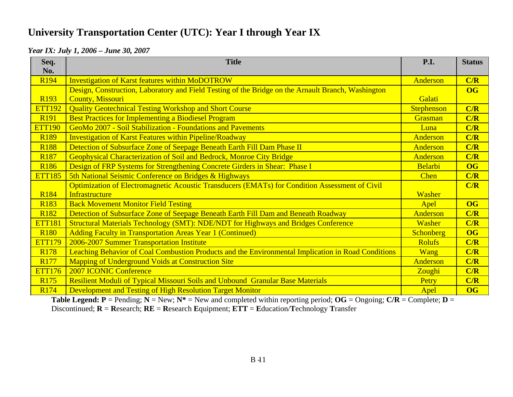### **University Transportation Center (UTC): Year I through Year IX**

#### *Year IX: July 1, 2006 – June 30, 2007*

| Seq.<br>No.      | <b>Title</b>                                                                                       | <b>P.I.</b>      | <b>Status</b>          |
|------------------|----------------------------------------------------------------------------------------------------|------------------|------------------------|
| R <sub>194</sub> | <b>Investigation of Karst features within MoDOTROW</b>                                             | Anderson         | C/R                    |
|                  | Design, Construction, Laboratory and Field Testing of the Bridge on the Arnault Branch, Washington |                  | <b>OG</b>              |
| R <sub>193</sub> | <b>County, Missouri</b>                                                                            | Galati           |                        |
| <b>ETT192</b>    | <b>Quality Geotechnical Testing Workshop and Short Course</b>                                      | Stephenson       | C/R                    |
| R <sub>191</sub> | <b>Best Practices for Implementing a Biodiesel Program</b>                                         | Grasman          | C/R                    |
| <b>ETT190</b>    | GeoMo 2007 - Soil Stabilization - Foundations and Pavements                                        | Luna             | C/R                    |
| R <sub>189</sub> | <b>Investigation of Karst Features within Pipeline/Roadway</b>                                     | Anderson         | C/R                    |
| <b>R188</b>      | Detection of Subsurface Zone of Seepage Beneath Earth Fill Dam Phase II                            | Anderson         | C/R                    |
| R <sub>187</sub> | Geophysical Characterization of Soil and Bedrock, Monroe City Bridge                               | Anderson         | C/R                    |
| R <sub>186</sub> | Design of FRP Systems for Strengthening Concrete Girders in Shear: Phase I                         | Belarbi          | OG                     |
| <b>ETT185</b>    | 5th National Seismic Conference on Bridges & Highways                                              | <b>Chen</b>      | C/R                    |
|                  | Optimization of Electromagnetic Acoustic Transducers (EMATs) for Condition Assessment of Civil     |                  | C/R                    |
| R <sub>184</sub> | Infrastructure                                                                                     | Washer           |                        |
| R <sub>183</sub> | <b>Back Movement Monitor Field Testing</b>                                                         | Apel             | $\overline{\text{OG}}$ |
| R <sub>182</sub> | Detection of Subsurface Zone of Seepage Beneath Earth Fill Dam and Beneath Roadway                 | Anderson         | C/R                    |
| <b>ETT181</b>    | <b>Structural Materials Technology (SMT): NDE/NDT for Highways and Bridges Conference</b>          | Washer           | C/R                    |
| <b>R180</b>      | <b>Adding Faculty in Transportation Areas Year 1 (Continued)</b>                                   | <b>Schonberg</b> | <b>OG</b>              |
| <b>ETT179</b>    | 2006-2007 Summer Transportation Institute                                                          | <b>Rolufs</b>    | C/R                    |
| R <sub>178</sub> | Leaching Behavior of Coal Combustion Products and the Environmental Implication in Road Conditions | <b>Wang</b>      | C/R                    |
| R <sub>177</sub> | <b>Mapping of Underground Voids at Construction Site</b>                                           | Anderson         | C/R                    |
| <b>ETT176</b>    | <b>2007 ICONIC Conference</b>                                                                      | Zoughi           | C/R                    |
| R <sub>175</sub> | Resilient Moduli of Typical Missouri Soils and Unbound Granular Base Materials                     | Petry            | C/R                    |
| R <sub>174</sub> | Development and Testing of High Resolution Target Monitor                                          | Apel             | <b>OG</b>              |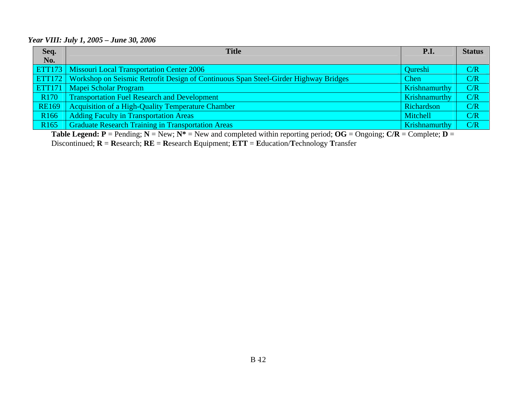#### *Year VIII: July 1, 2005 – June 30, 2006*

| Seq.             | <b>Title</b>                                                                                      | <b>P.I.</b>          | <b>Status</b> |
|------------------|---------------------------------------------------------------------------------------------------|----------------------|---------------|
| No.              |                                                                                                   |                      |               |
|                  | <b>ETT173</b> Missouri Local Transportation Center 2006                                           | Qureshi              | C/R           |
|                  | <b>ETT172</b> Workshop on Seismic Retrofit Design of Continuous Span Steel-Girder Highway Bridges | Chen                 | C/R           |
|                  | <b>ETT171</b>   Mapei Scholar Program                                                             | <b>Krishnamurthy</b> | C/R           |
| R <sub>170</sub> | <b>Transportation Fuel Research and Development</b>                                               | Krishnamurthy        | C/R           |
| <b>RE169</b>     | <b>Acquisition of a High-Quality Temperature Chamber</b>                                          | Richardson           | C/R           |
| R <sub>166</sub> | <b>Adding Faculty in Transportation Areas</b>                                                     | Mitchell             | C/R           |
| R <sub>165</sub> | <b>Graduate Research Training in Transportation Areas</b>                                         | <b>Krishnamurthy</b> | C/R           |

**Table Legend: P** = Pending; **N** = New; **N\*** = New and completed within reporting period; **OG** = Ongoing; **C/R** = Complete; **D** <sup>=</sup>

Discontinued; **R** <sup>=</sup>**R**esearch; **RE** = **R**esearch **E**quipment; **ETT** <sup>=</sup>**E**ducation/**T**echnology **T**ransfer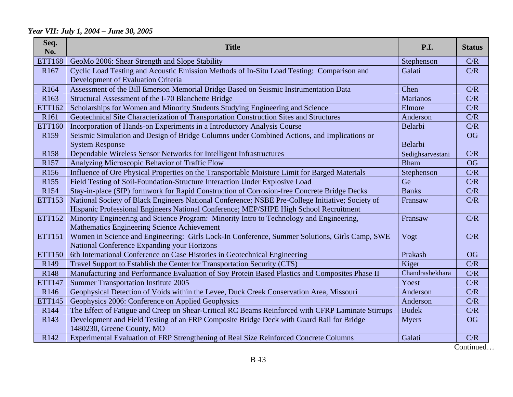#### *Year VII: July 1, 2004 – June 30, 2005*

| Seq.<br>No.      | <b>Title</b>                                                                                                                                 | P.I.             | <b>Status</b> |
|------------------|----------------------------------------------------------------------------------------------------------------------------------------------|------------------|---------------|
| <b>ETT168</b>    | GeoMo 2006: Shear Strength and Slope Stability                                                                                               | Stephenson       | C/R           |
| R <sub>167</sub> | Cyclic Load Testing and Acoustic Emission Methods of In-Situ Load Testing: Comparison and<br>Development of Evaluation Criteria              | Galati           | C/R           |
| R <sub>164</sub> | Assessment of the Bill Emerson Memorial Bridge Based on Seismic Instrumentation Data                                                         | Chen             | C/R           |
| R <sub>163</sub> | Structural Assessment of the I-70 Blanchette Bridge                                                                                          | <b>Marianos</b>  | C/R           |
| ETT162           | Scholarships for Women and Minority Students Studying Engineering and Science                                                                | Elmore           | C/R           |
| R <sub>161</sub> | Geotechnical Site Characterization of Transportation Construction Sites and Structures                                                       | Anderson         | C/R           |
| <b>ETT160</b>    | Incorporation of Hands-on Experiments in a Introductory Analysis Course                                                                      | Belarbi          | C/R           |
| R <sub>159</sub> | Seismic Simulation and Design of Bridge Columns under Combined Actions, and Implications or                                                  |                  | <b>OG</b>     |
|                  | <b>System Response</b>                                                                                                                       | Belarbi          |               |
| R <sub>158</sub> | Dependable Wireless Sensor Networks for Intelligent Infrastructures                                                                          | Sedighsarvestani | C/R           |
| R157             | Analyzing Microscopic Behavior of Traffic Flow                                                                                               | <b>Bham</b>      | <b>OG</b>     |
| R <sub>156</sub> | Influence of Ore Physical Properties on the Transportable Moisture Limit for Barged Materials                                                | Stephenson       | C/R           |
| R <sub>155</sub> | Field Testing of Soil-Foundation-Structure Interaction Under Explosive Load                                                                  | Ge               | C/R           |
| R <sub>154</sub> | Stay-in-place (SIP) formwork for Rapid Construction of Corrosion-free Concrete Bridge Decks                                                  | <b>Banks</b>     | C/R           |
| <b>ETT153</b>    | National Society of Black Engineers National Conference; NSBE Pre-College Initiative; Society of                                             | Fransaw          | C/R           |
|                  | Hispanic Professional Engineers National Conference; MEP/SHPE High School Recruitment                                                        |                  |               |
| <b>ETT152</b>    | Minority Engineering and Science Program: Minority Intro to Technology and Engineering,<br>Mathematics Engineering Science Achievement       | Fransaw          | C/R           |
| <b>ETT151</b>    | Women in Science and Engineering: Girls Lock-In Conference, Summer Solutions, Girls Camp, SWE<br>National Conference Expanding your Horizons | Vogt             | C/R           |
| <b>ETT150</b>    | 6th International Conference on Case Histories in Geotechnical Engineering                                                                   | Prakash          | <b>OG</b>     |
| R <sub>149</sub> | Travel Support to Establish the Center for Transportation Security (CTS)                                                                     | Kiger            | C/R           |
| R <sub>148</sub> | Manufacturing and Performance Evaluation of Soy Protein Based Plastics and Composites Phase II                                               | Chandrashekhara  | C/R           |
| <b>ETT147</b>    | <b>Summer Transportation Institute 2005</b>                                                                                                  | Yoest            | C/R           |
| R146             | Geophysical Detection of Voids within the Levee, Duck Creek Conservation Area, Missouri                                                      | Anderson         | C/R           |
| <b>ETT145</b>    | Geophysics 2006: Conference on Applied Geophysics                                                                                            | Anderson         | C/R           |
| R144             | The Effect of Fatigue and Creep on Shear-Critical RC Beams Reinforced with CFRP Laminate Stirrups                                            | <b>Budek</b>     | C/R           |
| R <sub>143</sub> | Development and Field Testing of an FRP Composite Bridge Deck with Guard Rail for Bridge<br>1480230, Greene County, MO                       | <b>Myers</b>     | <b>OG</b>     |
| R142             | Experimental Evaluation of FRP Strengthening of Real Size Reinforced Concrete Columns                                                        | Galati           | C/R           |

Continued…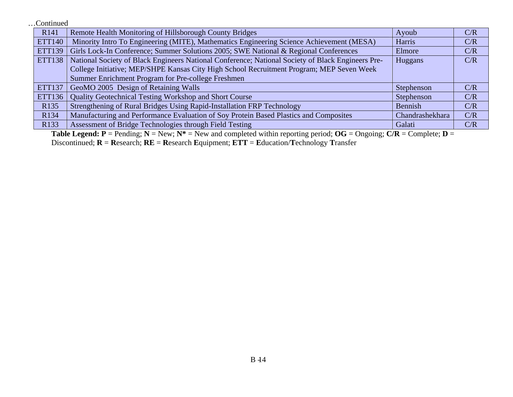…Continued

| R <sub>141</sub> | Remote Health Monitoring of Hillsborough County Bridges                                           | Ayoub           | C/R |
|------------------|---------------------------------------------------------------------------------------------------|-----------------|-----|
| <b>ETT140</b>    | Minority Intro To Engineering (MITE), Mathematics Engineering Science Achievement (MESA)          | Harris          | C/R |
| <b>ETT139</b>    | Girls Lock-In Conference; Summer Solutions 2005; SWE National & Regional Conferences              | Elmore          | C/R |
| <b>ETT138</b>    | National Society of Black Engineers National Conference; National Society of Black Engineers Pre- | Huggans         | C/R |
|                  | College Initiative; MEP/SHPE Kansas City High School Recruitment Program; MEP Seven Week          |                 |     |
|                  | Summer Enrichment Program for Pre-college Freshmen                                                |                 |     |
| <b>ETT137</b>    | GeoMO 2005 Design of Retaining Walls                                                              | Stephenson      | C/R |
| <b>ETT136</b>    | Quality Geotechnical Testing Workshop and Short Course                                            | Stephenson      | C/R |
| R <sub>135</sub> | Strengthening of Rural Bridges Using Rapid-Installation FRP Technology                            | Bennish         | C/R |
| R134             | Manufacturing and Performance Evaluation of Soy Protein Based Plastics and Composites             | Chandrashekhara | C/R |
| R <sub>133</sub> | Assessment of Bridge Technologies through Field Testing                                           | Galati          | C/R |

**Table Legend: P** = Pending; **N** = New; **N\*** = New and completed within reporting period; **OG** = Ongoing; **C/R** = Complete; **D** <sup>=</sup>

Discontinued; **R** <sup>=</sup>**R**esearch; **RE** = **R**esearch **E**quipment; **ETT** <sup>=</sup>**E**ducation/**T**echnology **T**ransfer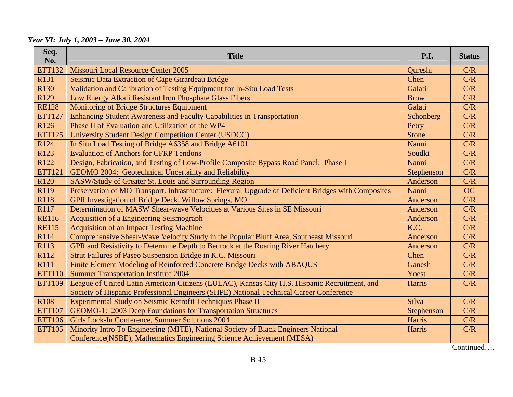*Year VI: July 1, 2003 – June 30, 2004* 

| Seq.<br>No.      | <b>Title</b>                                                                                        | P.I.        | <b>Status</b> |
|------------------|-----------------------------------------------------------------------------------------------------|-------------|---------------|
| <b>ETT132</b>    | <b>Missouri Local Resource Center 2005</b>                                                          | Qureshi     | C/R           |
| R131             | Seismic Data Extraction of Cape Girardeau Bridge                                                    | Chen        | C/R           |
| R <sub>130</sub> | Validation and Calibration of Testing Equipment for In-Situ Load Tests                              | Galati      | C/R           |
| R129             | Low Energy Alkali Resistant Iron Phosphate Glass Fibers                                             | <b>Brow</b> | C/R           |
| <b>RE128</b>     | <b>Monitoring of Bridge Structures Equipment</b>                                                    | Galati      | C/R           |
| <b>ETT127</b>    | Enhancing Student Awareness and Faculty Capabilities in Transportation                              | Schonberg   | C/R           |
| R <sub>126</sub> | Phase II of Evaluation and Utilization of the WP4                                                   | Petry       | C/R           |
| <b>ETT125</b>    | <b>University Student Design Competition Center (USDCC)</b>                                         | Stone       | C/R           |
| R <sub>124</sub> | In Situ Load Testing of Bridge A6358 and Bridge A6101                                               | Nanni       | C/R           |
| R123             | <b>Evaluation of Anchors for CFRP Tendons</b>                                                       | Soudki      | C/R           |
| R <sub>122</sub> | Design, Fabrication, and Testing of Low-Profile Composite Bypass Road Panel: Phase I                | Nanni       | C/R           |
| <b>ETT121</b>    | GEOMO 2004: Geotechnical Uncertainty and Reliability                                                | Stephenson  | C/R           |
| R <sub>120</sub> | <b>SASW/Study of Greater St. Louis and Surrounding Region</b>                                       | Anderson    | C/R           |
| R119             | Preservation of MO Transport. Infrastructure: Flexural Upgrade of Deficient Bridges with Composites | Nanni       | <b>OG</b>     |
| R118             | GPR Investigation of Bridge Deck, Willow Springs, MO                                                | Anderson    | C/R           |
| R117             | Determination of MASW Shear-wave Velocities at Various Sites in SE Missouri                         | Anderson    | C/R           |
| <b>RE116</b>     | <b>Acquisition of a Engineering Seismograph</b>                                                     | Anderson    | C/R           |
| <b>RE115</b>     | <b>Acquisition of an Impact Testing Machine</b>                                                     | K.C.        | C/R           |
| R114             | Comprehensive Shear-Wave Velocity Study in the Popular Bluff Area, Southeast Missouri               | Anderson    | C/R           |
| R113             | GPR and Resistivity to Determine Depth to Bedrock at the Roaring River Hatchery                     | Anderson    | C/R           |
| R112             | Strut Failures of Paseo Suspension Bridge in K.C. Missouri                                          | Chen        | C/R           |
| R111             | Finite Element Modeling of Reinforced Concrete Bridge Decks with ABAQUS                             | Ganesh      | C/R           |
| <b>ETT110</b>    | <b>Summer Transportation Institute 2004</b>                                                         | Yoest       | C/R           |
| <b>ETT109</b>    | League of United Latin American Citizens (LULAC), Kansas City H.S. Hispanic Recruitment, and        | Harris      | C/R           |
|                  | Society of Hispanic Professional Engineers (SHPE) National Technical Career Conference              |             |               |
| R <sub>108</sub> | Experimental Study on Seismic Retrofit Techniques Phase II                                          | Silva       | C/R           |
| <b>ETT107</b>    | GEOMO-1: 2003 Deep Foundations for Transportation Structures                                        | Stephenson  | C/R           |
| <b>ETT106</b>    | Girls Lock-In Conference, Summer Solutions 2004                                                     | Harris      | C/R           |
| <b>ETT105</b>    | Minority Intro To Engineering (MITE), National Society of Black Engineers National                  | Harris      | C/R           |
|                  | Conference(NSBE), Mathematics Engineering Science Achievement (MESA)                                |             |               |

Continued….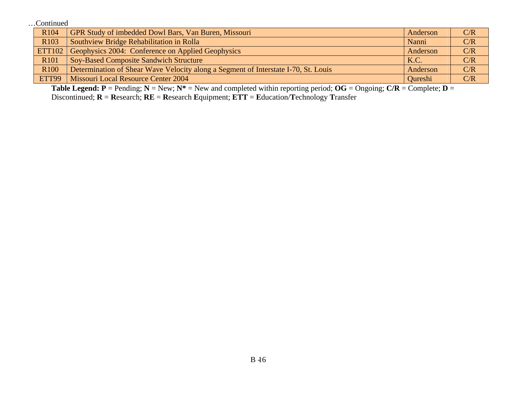…Continued

| R <sub>104</sub> | GPR Study of imbedded Dowl Bars, Van Buren, Missouri                               | Anderson | C/R |
|------------------|------------------------------------------------------------------------------------|----------|-----|
| R <sub>103</sub> | Southview Bridge Rehabilitation in Rolla                                           | Nanni    | C/R |
| <b>ETT102</b>    | Geophysics 2004: Conference on Applied Geophysics                                  | Anderson | C/R |
| R <sub>101</sub> | <b>Soy-Based Composite Sandwich Structure</b>                                      | K.C.     | C/R |
| R <sub>100</sub> | Determination of Shear Wave Velocity along a Segment of Interstate I-70, St. Louis | Anderson | C/R |
| ETT99            | Missouri Local Resource Center 2004                                                | Oureshi  | C/R |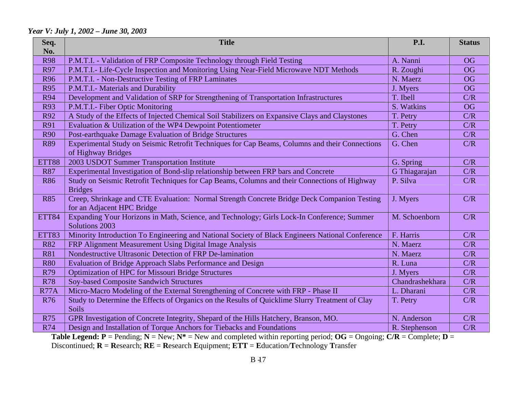#### *Year V: July 1, 2002 – June 30, 2003*

| Seq.<br>No.  | <b>Title</b>                                                                                                 | <b>P.I.</b>     | <b>Status</b> |
|--------------|--------------------------------------------------------------------------------------------------------------|-----------------|---------------|
| <b>R98</b>   | P.M.T.I. - Validation of FRP Composite Technology through Field Testing                                      | A. Nanni        | <b>OG</b>     |
| R97          | P.M.T.I.- Life-Cycle Inspection and Monitoring Using Near-Field Microwave NDT Methods                        | R. Zoughi       | <b>OG</b>     |
| <b>R96</b>   | P.M.T.I. - Non-Destructive Testing of FRP Laminates                                                          | N. Maerz        | <b>OG</b>     |
| <b>R95</b>   | P.M.T.I.- Materials and Durability                                                                           | J. Myers        | <b>OG</b>     |
| <b>R94</b>   | Development and Validation of SRP for Strengthening of Transportation Infrastructures                        | T. Ibell        | C/R           |
| <b>R93</b>   | P.M.T.I.- Fiber Optic Monitoring                                                                             | S. Watkins      | <b>OG</b>     |
| R92          | A Study of the Effects of Injected Chemical Soil Stabilizers on Expansive Clays and Claystones               | T. Petry        | C/R           |
| <b>R91</b>   | Evaluation & Utilization of the WP4 Dewpoint Potentiometer                                                   | T. Petry        | C/R           |
| <b>R90</b>   | Post-earthquake Damage Evaluation of Bridge Structures                                                       | G. Chen         | C/R           |
| <b>R89</b>   | Experimental Study on Seismic Retrofit Techniques for Cap Beams, Columns and their Connections               | G. Chen         | C/R           |
|              | of Highway Bridges                                                                                           |                 |               |
| ETT88        | 2003 USDOT Summer Transportation Institute                                                                   | G. Spring       | C/R           |
| <b>R87</b>   | Experimental Investigation of Bond-slip relationship between FRP bars and Concrete                           | G Thiagarajan   | C/R           |
| <b>R86</b>   | Study on Seismic Retrofit Techniques for Cap Beams, Columns and their Connections of Highway                 | P. Silva        | C/R           |
|              | <b>Bridges</b>                                                                                               |                 |               |
| <b>R85</b>   | Creep, Shrinkage and CTE Evaluation: Normal Strength Concrete Bridge Deck Companion Testing                  | J. Myers        | C/R           |
|              | for an Adjacent HPC Bridge                                                                                   |                 |               |
| <b>ETT84</b> | Expanding Your Horizons in Math, Science, and Technology; Girls Lock-In Conference; Summer<br>Solutions 2003 | M. Schoenborn   | C/R           |
| ETT83        | Minority Introduction To Engineering and National Society of Black Engineers National Conference             | F. Harris       | C/R           |
| <b>R82</b>   | FRP Alignment Measurement Using Digital Image Analysis                                                       | N. Maerz        | C/R           |
| <b>R81</b>   | Nondestructive Ultrasonic Detection of FRP De-lamination                                                     | N. Maerz        | C/R           |
| <b>R80</b>   | Evaluation of Bridge Approach Slabs Performance and Design                                                   | R. Luna         | C/R           |
| R79          | <b>Optimization of HPC for Missouri Bridge Structures</b>                                                    | J. Myers        | C/R           |
| <b>R78</b>   | <b>Soy-based Composite Sandwich Structures</b>                                                               | Chandrashekhara | C/R           |
| <b>R77A</b>  | Micro-Macro Modeling of the External Strengthening of Concrete with FRP - Phase II                           | L. Dharani      | C/R           |
| <b>R76</b>   | Study to Determine the Effects of Organics on the Results of Quicklime Slurry Treatment of Clay              | T. Petry        | C/R           |
|              | Soils                                                                                                        |                 |               |
| <b>R75</b>   | GPR Investigation of Concrete Integrity, Shepard of the Hills Hatchery, Branson, MO.                         | N. Anderson     | C/R           |
| R74          | Design and Installation of Torque Anchors for Tiebacks and Foundations                                       | R. Stephenson   | C/R           |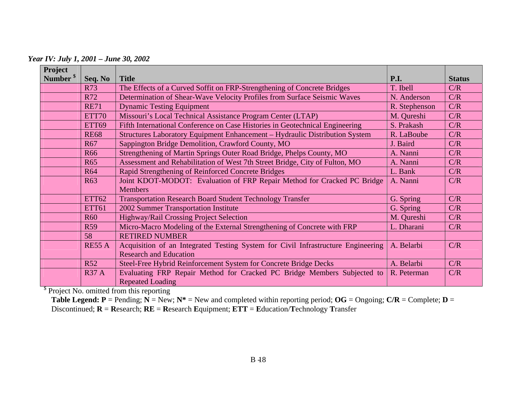*Year IV: July 1, 2001 – June 30, 2002* 

| Project              |               |                                                                                  |               |               |
|----------------------|---------------|----------------------------------------------------------------------------------|---------------|---------------|
| Number <sup>\$</sup> | Seq. No       | <b>Title</b>                                                                     | P.I.          | <b>Status</b> |
|                      | <b>R73</b>    | The Effects of a Curved Soffit on FRP-Strengthening of Concrete Bridges          | T. Ibell      | C/R           |
|                      | R72           | Determination of Shear-Wave Velocity Profiles from Surface Seismic Waves         | N. Anderson   | C/R           |
|                      | <b>RE71</b>   | <b>Dynamic Testing Equipment</b>                                                 | R. Stephenson | C/R           |
|                      | ETT70         | Missouri's Local Technical Assistance Program Center (LTAP)                      | M. Qureshi    | C/R           |
|                      | ETT69         | Fifth International Conference on Case Histories in Geotechnical Engineering     | S. Prakash    | C/R           |
|                      | <b>RE68</b>   | Structures Laboratory Equipment Enhancement - Hydraulic Distribution System      | R. LaBoube    | C/R           |
|                      | R67           | Sappington Bridge Demolition, Crawford County, MO                                | J. Baird      | C/R           |
|                      | <b>R66</b>    | Strengthening of Martin Springs Outer Road Bridge, Phelps County, MO             | A. Nanni      | C/R           |
|                      | <b>R65</b>    | Assessment and Rehabilitation of West 7th Street Bridge, City of Fulton, MO      | A. Nanni      | C/R           |
|                      | <b>R64</b>    | Rapid Strengthening of Reinforced Concrete Bridges                               | L. Bank       | C/R           |
|                      | R63           | Joint KDOT-MODOT: Evaluation of FRP Repair Method for Cracked PC Bridge          | A. Nanni      | C/R           |
|                      |               | <b>Members</b>                                                                   |               |               |
|                      | <b>ETT62</b>  | <b>Transportation Research Board Student Technology Transfer</b>                 | G. Spring     | C/R           |
|                      | <b>ETT61</b>  | 2002 Summer Transportation Institute                                             | G. Spring     | C/R           |
|                      | <b>R60</b>    | Highway/Rail Crossing Project Selection                                          | M. Qureshi    | C/R           |
|                      | <b>R59</b>    | Micro-Macro Modeling of the External Strengthening of Concrete with FRP          | L. Dharani    | C/R           |
|                      | 58            | <b>RETIRED NUMBER</b>                                                            |               |               |
|                      | <b>RE55 A</b> | Acquisition of an Integrated Testing System for Civil Infrastructure Engineering | A. Belarbi    | C/R           |
|                      |               | <b>Research and Education</b>                                                    |               |               |
|                      | <b>R52</b>    | Steel-Free Hybrid Reinforcement System for Concrete Bridge Decks                 | A. Belarbi    | C/R           |
|                      | <b>R37 A</b>  | Evaluating FRP Repair Method for Cracked PC Bridge Members Subjected to          | R. Peterman   | C/R           |
|                      |               | <b>Repeated Loading</b>                                                          |               |               |

<sup>\$</sup> Project No. omitted from this reporting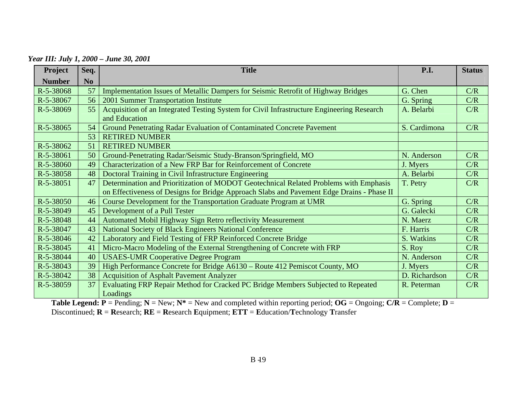*Year III: July 1, 2000 – June 30, 2001* 

| Project       | Seq.           | <b>Title</b>                                                                                               | P.I.          | <b>Status</b> |
|---------------|----------------|------------------------------------------------------------------------------------------------------------|---------------|---------------|
| <b>Number</b> | N <sub>o</sub> |                                                                                                            |               |               |
| R-5-38068     | 57             | Implementation Issues of Metallic Dampers for Seismic Retrofit of Highway Bridges                          | G. Chen       | C/R           |
| R-5-38067     | 56             | 2001 Summer Transportation Institute                                                                       | G. Spring     | C/R           |
| R-5-38069     | 55             | Acquisition of an Integrated Testing System for Civil Infrastructure Engineering Research<br>and Education | A. Belarbi    | C/R           |
| R-5-38065     | 54             | Ground Penetrating Radar Evaluation of Contaminated Concrete Pavement                                      | S. Cardimona  | C/R           |
|               | 53             | <b>RETIRED NUMBER</b>                                                                                      |               |               |
| R-5-38062     | 51             | <b>RETIRED NUMBER</b>                                                                                      |               |               |
| R-5-38061     | 50             | Ground-Penetrating Radar/Seismic Study-Branson/Springfield, MO                                             | N. Anderson   | C/R           |
| R-5-38060     | 49             | Characterization of a New FRP Bar for Reinforcement of Concrete                                            | J. Myers      | C/R           |
| R-5-38058     | 48             | Doctoral Training in Civil Infrastructure Engineering                                                      | A. Belarbi    | C/R           |
| R-5-38051     | 47             | Determination and Prioritization of MODOT Geotechnical Related Problems with Emphasis                      | T. Petry      | C/R           |
|               |                | on Effectiveness of Designs for Bridge Approach Slabs and Pavement Edge Drains - Phase II                  |               |               |
| $R-5-38050$   | 46             | Course Development for the Transportation Graduate Program at UMR                                          | G. Spring     | C/R           |
| R-5-38049     | 45             | Development of a Pull Tester                                                                               | G. Galecki    | C/R           |
| R-5-38048     | 44             | Automated Mobil Highway Sign Retro reflectivity Measurement                                                | N. Maerz      | C/R           |
| R-5-38047     | 43             | <b>National Society of Black Engineers National Conference</b>                                             | F. Harris     | C/R           |
| R-5-38046     | 42             | Laboratory and Field Testing of FRP Reinforced Concrete Bridge                                             | S. Watkins    | C/R           |
| R-5-38045     | 41             | Micro-Macro Modeling of the External Strengthening of Concrete with FRP                                    | S. Roy        | C/R           |
| R-5-38044     | 40             | <b>USAES-UMR Cooperative Degree Program</b>                                                                | N. Anderson   | C/R           |
| R-5-38043     | 39             | High Performance Concrete for Bridge A6130 - Route 412 Pemiscot County, MO                                 | J. Myers      | C/R           |
| R-5-38042     | 38             | <b>Acquisition of Asphalt Pavement Analyzer</b>                                                            | D. Richardson | C/R           |
| R-5-38059     | 37             | Evaluating FRP Repair Method for Cracked PC Bridge Members Subjected to Repeated                           | R. Peterman   | C/R           |
|               |                | Loadings                                                                                                   |               |               |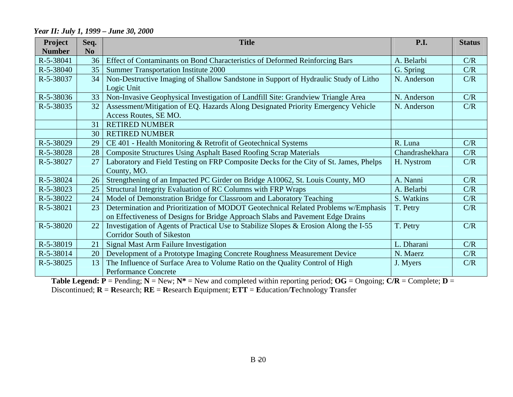#### **Project Seq. Title P.I. Status Number** N<sub>o</sub> R-5-38041 36 Effect of Contaminants on Bond Characteristics of Deformed Reinforcing Bars A. Belarbi C/R R-5-38040 35 Summer Transportation Institute 2000 R-5-38037 34 Non-Destructive Imaging of Shallow Sandstone in Support of Hydraulic Study of Litho Logic Unit N. Anderson C/R R-5-38036 33 Non-Invasive Geophysical Investigation of Landfill Site: Grandview Triangle Area N. Anderson C/R R-5-38035 32 Assessment/Mitigation of EQ. Hazards Along Designated Priority Emergency Vehicle Access Routes, SE MO. N. Anderson C/R 31 RETIRED NUMBER 30 RETIRED NUMBER R-5-38029 29 CE 401 - Health Monitoring & Retrofit of Geotechnical Systems R. Luna R. Luna C/R R-5-38028 28 Composite Structures Using Asphalt Based Roofing Scrap Materials Chandrashekhara C/R R-5-38027 27 Laboratory and Field Testing on FRP Composite Decks for the City of St. James, Phelps County, MO. H. Nystrom C/R R-5-38024 26 Strengthening of an Impacted PC Girder on Bridge A10062, St. Louis County, MO A. Nanni C/R R-5-38023 25 Structural Integrity Evaluation of RC Columns with FRP Wraps A. Belarbi C/R R-5-38022 24 Model of Demonstration Bridge for Classroom and Laboratory Teaching S. Watkins C/R R-5-38021 23 Determination and Prioritization of MODOT Geotechnical Related Problems w/Emphasis on Effectiveness of Designs for Bridge Approach Slabs and Pavement Edge Drains T. Petry C/R R-5-38020 22 Investigation of Agents of Practical Use to Stabilize Slopes & Erosion Along the I-55 Corridor South of Sikeston T. Petry C/R R-5-38019 21 Signal Mast Arm Failure Investigation L. Dharani C/R R-5-38014 20 Development of a Prototype Imaging Concrete Roughness Measurement Device N. Maerz N. Maerz C/R R-5-38025 13 The Influence of Surface Area to Volume Ratio on the Quality Control of High Performance Concrete J. Myers C/R

#### *Year II: July 1, 1999 – June 30, 2000*

**Table Legend:**  $P =$  Pending;  $N =$  New;  $N^* =$  New and completed within reporting period;  $OG =$  Ongoing;  $C/R =$  Complete;  $D =$ 

Discontinued; **R** <sup>=</sup>**R**esearch; **RE** = **R**esearch **E**quipment; **ETT** <sup>=</sup>**E**ducation/**T**echnology **T**ransfer